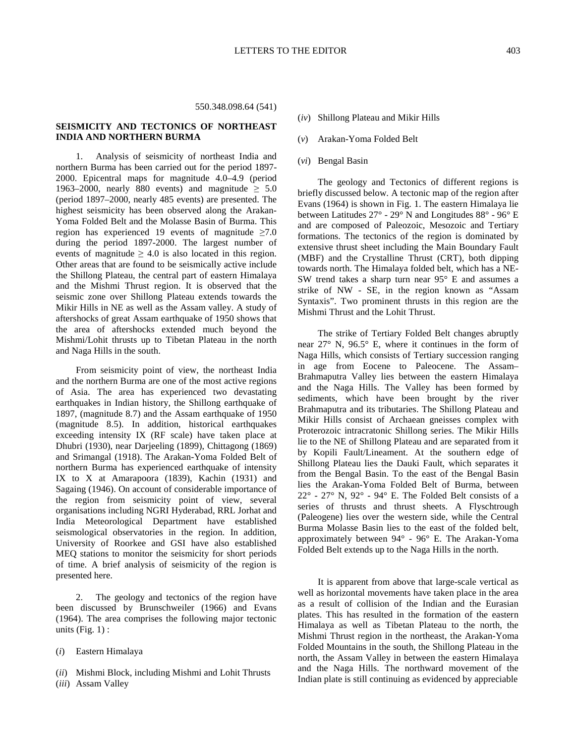## 550.348.098.64 (541)

# **SEISMICITY AND TECTONICS OF NORTHEAST INDIA AND NORTHERN BURMA**

1. Analysis of seismicity of northeast India and northern Burma has been carried out for the period 1897- 2000. Epicentral maps for magnitude 4.0–4.9 (period 1963–2000, nearly 880 events) and magnitude  $\geq 5.0$ (period 1897–2000, nearly 485 events) are presented. The highest seismicity has been observed along the Arakan-Yoma Folded Belt and the Molasse Basin of Burma. This region has experienced 19 events of magnitude  $\geq 7.0$ during the period 1897-2000. The largest number of events of magnitude  $\geq 4.0$  is also located in this region. Other areas that are found to be seismically active include the Shillong Plateau, the central part of eastern Himalaya and the Mishmi Thrust region. It is observed that the seismic zone over Shillong Plateau extends towards the Mikir Hills in NE as well as the Assam valley. A study of aftershocks of great Assam earthquake of 1950 shows that the area of aftershocks extended much beyond the Mishmi/Lohit thrusts up to Tibetan Plateau in the north and Naga Hills in the south.

From seismicity point of view, the northeast India and the northern Burma are one of the most active regions of Asia. The area has experienced two devastating earthquakes in Indian history, the Shillong earthquake of 1897, (magnitude 8.7) and the Assam earthquake of 1950 (magnitude 8.5). In addition, historical earthquakes exceeding intensity IX (RF scale) have taken place at Dhubri (1930), near Darjeeling (1899), Chittagong (1869) and Srimangal (1918). The Arakan-Yoma Folded Belt of northern Burma has experienced earthquake of intensity IX to X at Amarapoora (1839), Kachin (1931) and Sagaing (1946). On account of considerable importance of the region from seismicity point of view, several organisations including NGRI Hyderabad, RRL Jorhat and India Meteorological Department have established seismological observatories in the region. In addition, University of Roorkee and GSI have also established MEQ stations to monitor the seismicity for short periods of time. A brief analysis of seismicity of the region is presented here.

2. The geology and tectonics of the region have been discussed by Brunschweiler (1966) and Evans (1964). The area comprises the following major tectonic units  $(Fig. 1)$ :

(*i*) Eastern Himalaya

- (*ii*) Mishmi Block, including Mishmi and Lohit Thrusts
- (*iii*) Assam Valley
- (*iv*) Shillong Plateau and Mikir Hills
- (*v*) Arakan-Yoma Folded Belt
- (*vi*) Bengal Basin

The geology and Tectonics of different regions is briefly discussed below. A tectonic map of the region after Evans (1964) is shown in Fig. 1. The eastern Himalaya lie between Latitudes 27° - 29° N and Longitudes 88° - 96° E and are composed of Paleozoic, Mesozoic and Tertiary formations. The tectonics of the region is dominated by extensive thrust sheet including the Main Boundary Fault (MBF) and the Crystalline Thrust (CRT), both dipping towards north. The Himalaya folded belt, which has a NE-SW trend takes a sharp turn near 95° E and assumes a strike of NW - SE, in the region known as "Assam Syntaxis". Two prominent thrusts in this region are the Mishmi Thrust and the Lohit Thrust.

The strike of Tertiary Folded Belt changes abruptly near 27° N, 96.5° E, where it continues in the form of Naga Hills, which consists of Tertiary succession ranging in age from Eocene to Paleocene. The Assam– Brahmaputra Valley lies between the eastern Himalaya and the Naga Hills. The Valley has been formed by sediments, which have been brought by the river Brahmaputra and its tributaries. The Shillong Plateau and Mikir Hills consist of Archaean gneisses complex with Proterozoic intracratonic Shillong series. The Mikir Hills lie to the NE of Shillong Plateau and are separated from it by Kopili Fault/Lineament. At the southern edge of Shillong Plateau lies the Dauki Fault, which separates it from the Bengal Basin. To the east of the Bengal Basin lies the Arakan-Yoma Folded Belt of Burma, between  $22^{\circ}$  -  $27^{\circ}$  N,  $92^{\circ}$  -  $94^{\circ}$  E. The Folded Belt consists of a series of thrusts and thrust sheets. A Flyschtrough (Paleogene) lies over the western side, while the Central Burma Molasse Basin lies to the east of the folded belt, approximately between 94° - 96° E. The Arakan-Yoma Folded Belt extends up to the Naga Hills in the north.

It is apparent from above that large-scale vertical as well as horizontal movements have taken place in the area as a result of collision of the Indian and the Eurasian plates. This has resulted in the formation of the eastern Himalaya as well as Tibetan Plateau to the north, the Mishmi Thrust region in the northeast, the Arakan-Yoma Folded Mountains in the south, the Shillong Plateau in the north, the Assam Valley in between the eastern Himalaya and the Naga Hills. The northward movement of the Indian plate is still continuing as evidenced by appreciable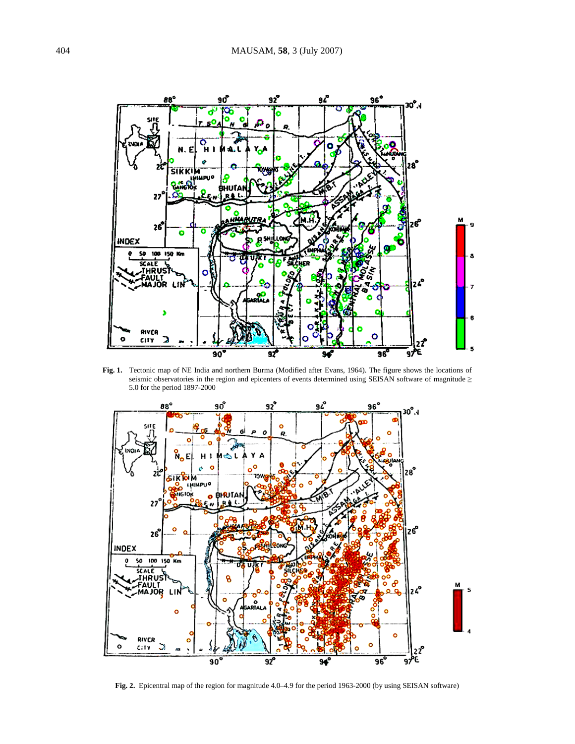

**Fig. 1.** Tectonic map of NE India and northern Burma (Modified after Evans, 1964). The figure shows the locations of seismic observatories in the region and epicenters of events determined using SEISAN software of magnitude ≥ 5.0 for the period 1897-2000



**Fig. 2.** Epicentral map of the region for magnitude 4.0–4.9 for the period 1963-2000 (by using SEISAN software)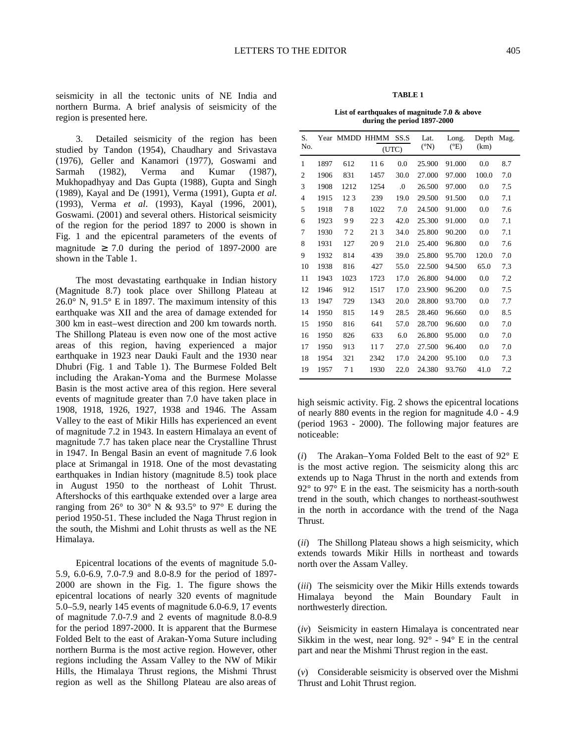seismicity in all the tectonic units of NE India and northern Burma. A brief analysis of seismicity of the region is presented here.

3. Detailed seismicity of the region has been studied by Tandon (1954), Chaudhary and Srivastava (1976), Geller and Kanamori (1977), Goswami and Sarmah (1982), Verma and Kumar (1987), Mukhopadhyay and Das Gupta (1988), Gupta and Singh (1989), Kayal and De (1991), Verma (1991), Gupta *et al*. (1993), Verma *et al*. (1993), Kayal (1996, 2001), Goswami. (2001) and several others. Historical seismicity of the region for the period 1897 to 2000 is shown in Fig. 1 and the epicentral parameters of the events of magnitude  $\geq 7.0$  during the period of 1897-2000 are shown in the Table 1.

The most devastating earthquake in Indian history (Magnitude 8.7) took place over Shillong Plateau at 26.0° N, 91.5° E in 1897. The maximum intensity of this earthquake was XII and the area of damage extended for 300 km in east–west direction and 200 km towards north. The Shillong Plateau is even now one of the most active areas of this region, having experienced a major earthquake in 1923 near Dauki Fault and the 1930 near Dhubri (Fig. 1 and Table 1). The Burmese Folded Belt including the Arakan-Yoma and the Burmese Molasse Basin is the most active area of this region. Here several events of magnitude greater than 7.0 have taken place in 1908, 1918, 1926, 1927, 1938 and 1946. The Assam Valley to the east of Mikir Hills has experienced an event of magnitude 7.2 in 1943. In eastern Himalaya an event of magnitude 7.7 has taken place near the Crystalline Thrust in 1947. In Bengal Basin an event of magnitude 7.6 look place at Srimangal in 1918. One of the most devastating earthquakes in Indian history (magnitude 8.5) took place in August 1950 to the northeast of Lohit Thrust. Aftershocks of this earthquake extended over a large area ranging from  $26^{\circ}$  to  $30^{\circ}$  N &  $93.5^{\circ}$  to  $97^{\circ}$  E during the period 1950-51. These included the Naga Thrust region in the south, the Mishmi and Lohit thrusts as well as the NE Himalaya.

Epicentral locations of the events of magnitude 5.0- 5.9, 6.0-6.9, 7.0-7.9 and 8.0-8.9 for the period of 1897- 2000 are shown in the Fig. 1. The figure shows the epicentral locations of nearly 320 events of magnitude 5.0–5.9, nearly 145 events of magnitude 6.0-6.9, 17 events of magnitude 7.0-7.9 and 2 events of magnitude 8.0-8.9 for the period 1897-2000. It is apparent that the Burmese Folded Belt to the east of Arakan-Yoma Suture including northern Burma is the most active region. However, other regions including the Assam Valley to the NW of Mikir Hills, the Himalaya Thrust regions, the Mishmi Thrust region as well as the Shillong Plateau are also areas of

### **TABLE 1**

**List of earthquakes of magnitude 7.0 & above during the period 1897-2000** 

| S.             |      | Year MMDD HHMM |       | SS.S | Lat.            | Long.         | Depth | Mag. |
|----------------|------|----------------|-------|------|-----------------|---------------|-------|------|
| No.            |      |                | (UTC) |      | $({}^{\circ}N)$ | $(^{\circ}E)$ | (km)  |      |
| 1              | 1897 | 612            | 11.6  | 0.0  | 25.900          | 91.000        | 0.0   | 8.7  |
| $\overline{2}$ | 1906 | 831            | 1457  | 30.0 | 27.000          | 97.000        | 100.0 | 7.0  |
| 3              | 1908 | 1212           | 1254  | .0   | 26.500          | 97.000        | 0.0   | 7.5  |
| $\overline{4}$ | 1915 | 123            | 239   | 19.0 | 29.500          | 91.500        | 0.0   | 7.1  |
| 5              | 1918 | 78             | 1022  | 7.0  | 24.500          | 91.000        | 0.0   | 7.6  |
| 6              | 1923 | 99             | 223   | 42.0 | 25.300          | 91.000        | 0.0   | 7.1  |
| 7              | 1930 | 72             | 213   | 34.0 | 25.800          | 90.200        | 0.0   | 7.1  |
| 8              | 1931 | 127            | 209   | 21.0 | 25.400          | 96.800        | 0.0   | 7.6  |
| 9              | 1932 | 814            | 439   | 39.0 | 25.800          | 95.700        | 120.0 | 7.0  |
| 10             | 1938 | 816            | 427   | 55.0 | 22.500          | 94.500        | 65.0  | 7.3  |
| 11             | 1943 | 1023           | 1723  | 17.0 | 26.800          | 94.000        | 0.0   | 7.2  |
| 12             | 1946 | 912            | 1517  | 17.0 | 23.900          | 96.200        | 0.0   | 7.5  |
| 13             | 1947 | 729            | 1343  | 20.0 | 28.800          | 93.700        | 0.0   | 7.7  |
| 14             | 1950 | 815            | 149   | 28.5 | 28.460          | 96.660        | 0.0   | 8.5  |
| 15             | 1950 | 816            | 641   | 57.0 | 28.700          | 96.600        | 0.0   | 7.0  |
| 16             | 1950 | 826            | 633   | 6.0  | 26.800          | 95.000        | 0.0   | 7.0  |
| 17             | 1950 | 913            | 117   | 27.0 | 27.500          | 96.400        | 0.0   | 7.0  |
| 18             | 1954 | 321            | 2342  | 17.0 | 24.200          | 95.100        | 0.0   | 7.3  |
| 19             | 1957 | 71             | 1930  | 22.0 | 24.380          | 93.760        | 41.0  | 7.2  |

high seismic activity. Fig. 2 shows the epicentral locations of nearly 880 events in the region for magnitude 4.0 - 4.9 (period 1963 - 2000). The following major features are noticeable:

(*i*) The Arakan–Yoma Folded Belt to the east of 92° E is the most active region. The seismicity along this arc extends up to Naga Thrust in the north and extends from 92° to 97° E in the east. The seismicity has a north-south trend in the south, which changes to northeast-southwest in the north in accordance with the trend of the Naga Thrust.

(*ii*) The Shillong Plateau shows a high seismicity, which extends towards Mikir Hills in northeast and towards north over the Assam Valley.

(*iii*) The seismicity over the Mikir Hills extends towards Himalaya beyond the Main Boundary Fault in northwesterly direction.

(*iv*) Seismicity in eastern Himalaya is concentrated near Sikkim in the west, near long.  $92^{\circ}$  -  $94^{\circ}$  E in the central part and near the Mishmi Thrust region in the east.

(*v*) Considerable seismicity is observed over the Mishmi Thrust and Lohit Thrust region.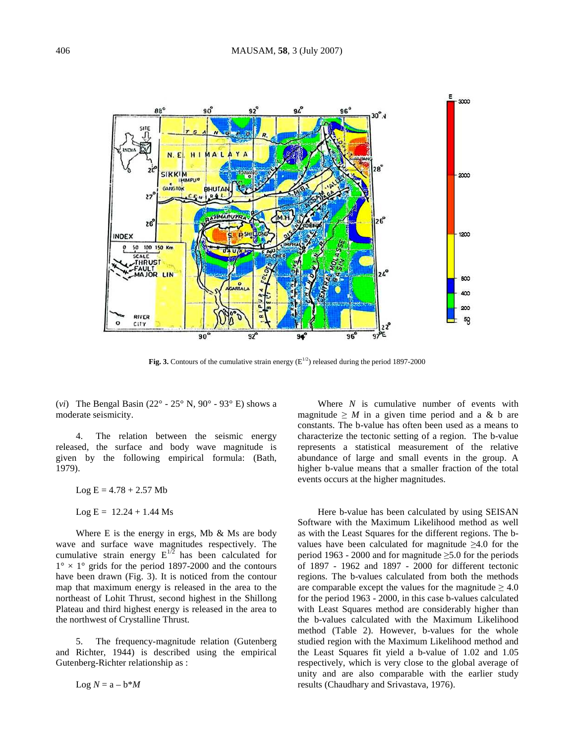

Fig. 3. Contours of the cumulative strain energy  $(E^{1/2})$  released during the period 1897-2000

(*vi*) The Bengal Basin (22° - 25° N, 90° - 93° E) shows a moderate seismicity.

4. The relation between the seismic energy released, the surface and body wave magnitude is given by the following empirical formula: (Bath, 1979).

 $Log E = 4.78 + 2.57 Mb$ 

 $Log E = 12.24 + 1.44$  Ms

Where E is the energy in ergs, Mb  $\&$  Ms are body wave and surface wave magnitudes respectively. The cumulative strain energy  $E^{1/2}$  has been calculated for  $1^\circ \times 1^\circ$  grids for the period 1897-2000 and the contours have been drawn (Fig. 3). It is noticed from the contour map that maximum energy is released in the area to the northeast of Lohit Thrust, second highest in the Shillong Plateau and third highest energy is released in the area to the northwest of Crystalline Thrust.

The frequency-magnitude relation (Gutenberg) and Richter, 1944) is described using the empirical Gutenberg-Richter relationship as :

Where *N* is cumulative number of events with magnitude  $\geq M$  in a given time period and a & b are constants. The b-value has often been used as a means to characterize the tectonic setting of a region. The b-value represents a statistical measurement of the relative abundance of large and small events in the group. A higher b-value means that a smaller fraction of the total events occurs at the higher magnitudes.

Here b-value has been calculated by using SEISAN Software with the Maximum Likelihood method as well as with the Least Squares for the different regions. The bvalues have been calculated for magnitude  $\geq 4.0$  for the period 1963 - 2000 and for magnitude ≥5.0 for the periods of 1897 - 1962 and 1897 - 2000 for different tectonic regions. The b-values calculated from both the methods are comparable except the values for the magnitude  $\geq 4.0$ for the period 1963 - 2000, in this case b-values calculated with Least Squares method are considerably higher than the b-values calculated with the Maximum Likelihood method (Table 2). However, b-values for the whole studied region with the Maximum Likelihood method and the Least Squares fit yield a b-value of 1.02 and 1.05 respectively, which is very close to the global average of unity and are also comparable with the earlier study results (Chaudhary and Srivastava, 1976).

 $Log N = a - b^*M$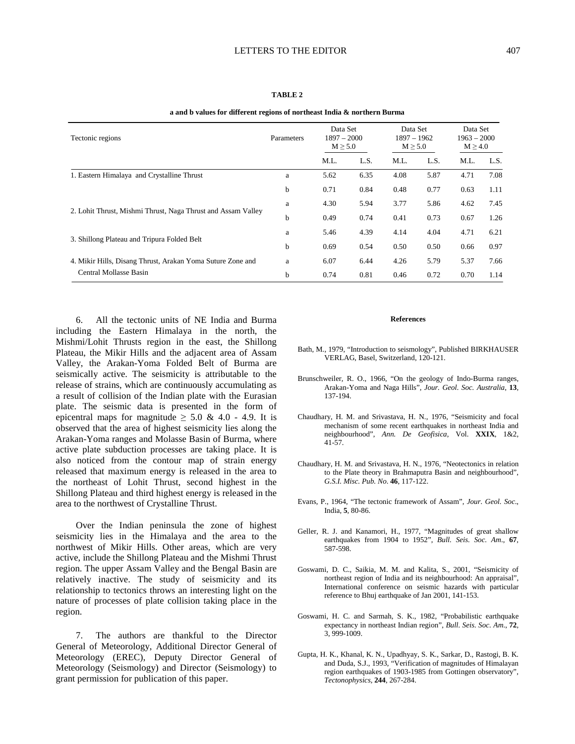| Tectonic regions                                             | Parameters | Data Set<br>$1897 - 2000$<br>$M \geq 5.0$ |      | Data Set<br>1897 - 1962<br>$M \geq 5.0$ |      | Data Set<br>$1963 - 2000$<br>$M \geq 4.0$ |      |
|--------------------------------------------------------------|------------|-------------------------------------------|------|-----------------------------------------|------|-------------------------------------------|------|
|                                                              |            | M.L.                                      | L.S. | M.L.                                    | L.S. | M.L.                                      | L.S. |
| 1. Eastern Himalaya and Crystalline Thrust                   | a          | 5.62                                      | 6.35 | 4.08                                    | 5.87 | 4.71                                      | 7.08 |
|                                                              | b          | 0.71                                      | 0.84 | 0.48                                    | 0.77 | 0.63                                      | 1.11 |
|                                                              | a          | 4.30                                      | 5.94 | 3.77                                    | 5.86 | 4.62                                      | 7.45 |
| 2. Lohit Thrust, Mishmi Thrust, Naga Thrust and Assam Valley | b          | 0.49                                      | 0.74 | 0.41                                    | 0.73 | 0.67                                      | 1.26 |
|                                                              | a          | 5.46                                      | 4.39 | 4.14                                    | 4.04 | 4.71                                      | 6.21 |
| 3. Shillong Plateau and Tripura Folded Belt                  | b          | 0.69                                      | 0.54 | 0.50                                    | 0.50 | 0.66                                      | 0.97 |
| 4. Mikir Hills, Disang Thrust, Arakan Yoma Suture Zone and   | a          | 6.07                                      | 6.44 | 4.26                                    | 5.79 | 5.37                                      | 7.66 |
| Central Mollasse Basin                                       | b          | 0.74                                      | 0.81 | 0.46                                    | 0.72 | 0.70                                      | 1.14 |

#### **TABLE 2**

**a and b values for different regions of northeast India & northern Burma** 

6. All the tectonic units of NE India and Burma including the Eastern Himalaya in the north, the Mishmi/Lohit Thrusts region in the east, the Shillong Plateau, the Mikir Hills and the adjacent area of Assam Valley, the Arakan-Yoma Folded Belt of Burma are seismically active. The seismicity is attributable to the release of strains, which are continuously accumulating as a result of collision of the Indian plate with the Eurasian plate. The seismic data is presented in the form of epicentral maps for magnitude  $\geq 5.0 \& 4.0 - 4.9$ . It is observed that the area of highest seismicity lies along the Arakan-Yoma ranges and Molasse Basin of Burma, where active plate subduction processes are taking place. It is also noticed from the contour map of strain energy released that maximum energy is released in the area to the northeast of Lohit Thrust, second highest in the Shillong Plateau and third highest energy is released in the area to the northwest of Crystalline Thrust.

Over the Indian peninsula the zone of highest seismicity lies in the Himalaya and the area to the northwest of Mikir Hills. Other areas, which are very active, include the Shillong Plateau and the Mishmi Thrust region. The upper Assam Valley and the Bengal Basin are relatively inactive. The study of seismicity and its relationship to tectonics throws an interesting light on the nature of processes of plate collision taking place in the region.

7. The authors are thankful to the Director General of Meteorology, Additional Director General of Meteorology (EREC), Deputy Director General of Meteorology (Seismology) and Director (Seismology) to grant permission for publication of this paper.

### **References**

- Bath, M., 1979, "Introduction to seismology", Published BIRKHAUSER VERLAG, Basel, Switzerland, 120-121.
- Brunschweiler, R. O., 1966, "On the geology of Indo-Burma ranges, Arakan-Yoma and Naga Hills", *Jour. Geol. Soc. Australia*, **13**, 137-194.
- Chaudhary, H. M. and Srivastava, H. N., 1976, "Seismicity and focal mechanism of some recent earthquakes in northeast India and neighbourhood", *Ann. De Geofisica*, Vol. **XXIX**, 1&2, 41-57.
- Chaudhary, H. M. and Srivastava, H. N., 1976, "Neotectonics in relation to the Plate theory in Brahmaputra Basin and neighbourhood", *G.S.I. Misc. Pub. No*. **46**, 117-122.
- Evans, P., 1964, "The tectonic framework of Assam", *Jour. Geol. Soc*., India, **5**, 80-86.
- Geller, R. J. and Kanamori, H., 1977, "Magnitudes of great shallow earthquakes from 1904 to 1952", *Bull. Seis. Soc. Am*., **67**, 587-598.
- Goswami, D. C., Saikia, M. M. and Kalita, S., 2001, "Seismicity of northeast region of India and its neighbourhood: An appraisal", International conference on seismic hazards with particular reference to Bhuj earthquake of Jan 2001, 141-153.
- Goswami, H. C. and Sarmah, S. K., 1982, "Probabilistic earthquake expectancy in northeast Indian region", *Bull. Seis. Soc. Am*., **72**, 3, 999-1009.
- Gupta, H. K., Khanal, K. N., Upadhyay, S. K., Sarkar, D., Rastogi, B. K. and Duda, S.J., 1993, "Verification of magnitudes of Himalayan region earthquakes of 1903-1985 from Gottingen observatory", *Tectonophysics*, **244**, 267-284.